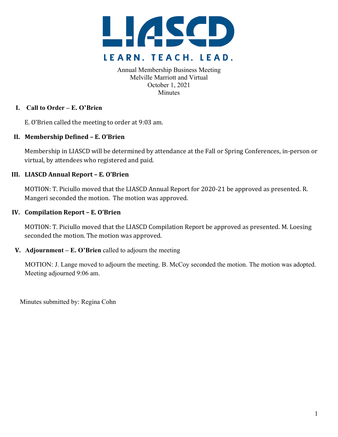

Annual Membership Business Meeting Melville Marriott and Virtual October 1, 2021 **Minutes** 

# **I. Call to Order – E. O'Brien**

E. O'Brien called the meeting to order at 9:03 am.

## **II. Membership Defined – E. O'Brien**

Membership in LIASCD will be determined by attendance at the Fall or Spring Conferences, in-person or virtual, by attendees who registered and paid.

# **III. LIASCD Annual Report – E. O'Brien**

MOTION: T. Piciullo moved that the LIASCD Annual Report for 2020-21 be approved as presented. R. Mangeri seconded the motion. The motion was approved.

## **IV. Compilation Report – E. O'Brien**

MOTION: T. Piciullo moved that the LIASCD Compilation Report be approved as presented. M. Loesing seconded the motion. The motion was approved.

# **V.** Adjournment – E. O'Brien called to adjourn the meeting

MOTION: J. Lange moved to adjourn the meeting. B. McCoy seconded the motion. The motion was adopted. Meeting adjourned 9:06 am.

Minutes submitted by: Regina Cohn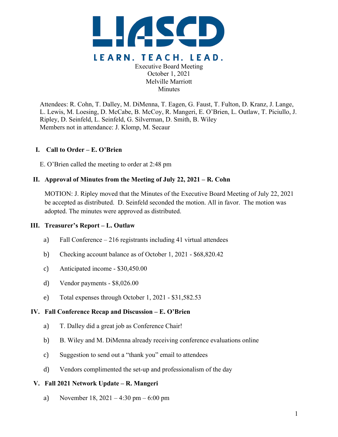

Executive Board Meeting October 1, 2021 Melville Marriott **Minutes** 

Attendees: R. Cohn, T. Dalley, M. DiMenna, T. Eagen, G. Faust, T. Fulton, D. Kranz, J. Lange, L. Lewis, M. Loesing, D. McCabe, B. McCoy, R. Mangeri, E. O'Brien, L. Outlaw, T. Piciullo, J. Ripley, D. Seinfeld, L. Seinfeld, G. Silverman, D. Smith, B. Wiley Members not in attendance: J. Klomp, M. Secaur

## **I. Call to Order – E. O'Brien**

E. O'Brien called the meeting to order at 2:48 pm

## **II. Approval of Minutes from the Meeting of July 22, 2021 – R. Cohn**

MOTION: J. Ripley moved that the Minutes of the Executive Board Meeting of July 22, 2021 be accepted as distributed. D. Seinfeld seconded the motion. All in favor. The motion was adopted. The minutes were approved as distributed.

## **III. Treasurer's Report – L. Outlaw**

- a) Fall Conference 216 registrants including 41 virtual attendees
- b) Checking account balance as of October 1, 2021 \$68,820.42
- c) Anticipated income \$30,450.00
- d) Vendor payments \$8,026.00
- e) Total expenses through October 1, 2021 \$31,582.53

## **IV. Fall Conference Recap and Discussion – E. O'Brien**

- a) T. Dalley did a great job as Conference Chair!
- b) B. Wiley and M. DiMenna already receiving conference evaluations online
- c) Suggestion to send out a "thank you" email to attendees
- d) Vendors complimented the set-up and professionalism of the day

## **V. Fall 2021 Network Update – R. Mangeri**

a) November 18, 2021 – 4:30 pm – 6:00 pm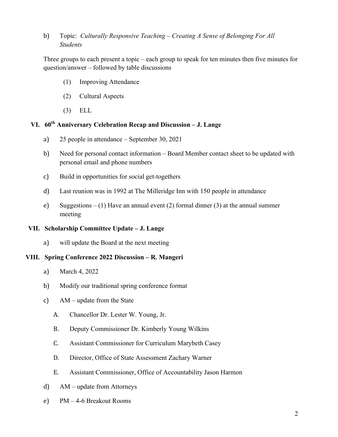# b) Topic: *Culturally Responsive Teaching – Creating A Sense of Belonging For All Students*

Three groups to each present a topic – each group to speak for ten minutes then five minutes for question/answer – followed by table discussions

- (1) Improving Attendance
- (2) Cultural Aspects
- (3) ELL

# **VI. 60th Anniversary Celebration Recap and Discussion – J. Lange**

- a) 25 people in attendance September 30, 2021
- b) Need for personal contact information Board Member contact sheet to be updated with personal email and phone numbers
- c) Build in opportunities for social get-togethers
- d) Last reunion was in 1992 at The Milleridge Inn with 150 people in attendance
- e) Suggestions (1) Have an annual event (2) formal dinner (3) at the annual summer meeting

#### **VII. Scholarship Committee Update – J. Lange**

a) will update the Board at the next meeting

#### **VIII. Spring Conference 2022 Discussion – R. Mangeri**

- a) March 4, 2022
- b) Modify our traditional spring conference format
- c) AM update from the State
	- A. Chancellor Dr. Lester W. Young, Jr.
	- B. Deputy Commissioner Dr. Kimberly Young Wilkins
	- C. Assistant Commissioner for Curriculum Marybeth Casey
	- D. Director, Office of State Assessment Zachary Warner
	- E. Assistant Commissioner, Office of Accountability Jason Harmon
- d) AM update from Attorneys
- e) PM 4-6 Breakout Rooms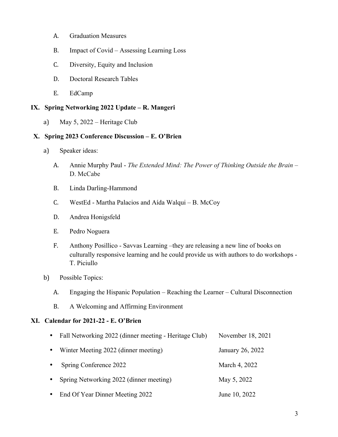- A. Graduation Measures
- B. Impact of Covid Assessing Learning Loss
- C. Diversity, Equity and Inclusion
- D. Doctoral Research Tables
- E. EdCamp

## **IX. Spring Networking 2022 Update – R. Mangeri**

a) May 5, 2022 – Heritage Club

## **X. Spring 2023 Conference Discussion – E. O'Brien**

- a) Speaker ideas:
	- A. Annie Murphy Paul *The Extended Mind: The Power of Thinking Outside the Brain*  D. McCabe
	- B. Linda Darling-Hammond
	- C. WestEd Martha Palacios and Aída Walqui B. McCoy
	- D. Andrea Honigsfeld
	- E. Pedro Noguera
	- F. Anthony Posillico Savvas Learning –they are releasing a new line of books on culturally responsive learning and he could provide us with authors to do workshops - T. Piciullo
- b) Possible Topics:
	- A. Engaging the Hispanic Population Reaching the Learner Cultural Disconnection
	- B. A Welcoming and Affirming Environment

#### **XI. Calendar for 2021-22 - E. O'Brien**

| Fall Networking 2022 (dinner meeting - Heritage Club) | November 18, 2021 |
|-------------------------------------------------------|-------------------|
| Winter Meeting 2022 (dinner meeting)                  | January 26, 2022  |
| Spring Conference 2022                                | March 4, 2022     |
| Spring Networking 2022 (dinner meeting)               | May 5, 2022       |
| End Of Year Dinner Meeting 2022                       | June 10, 2022     |